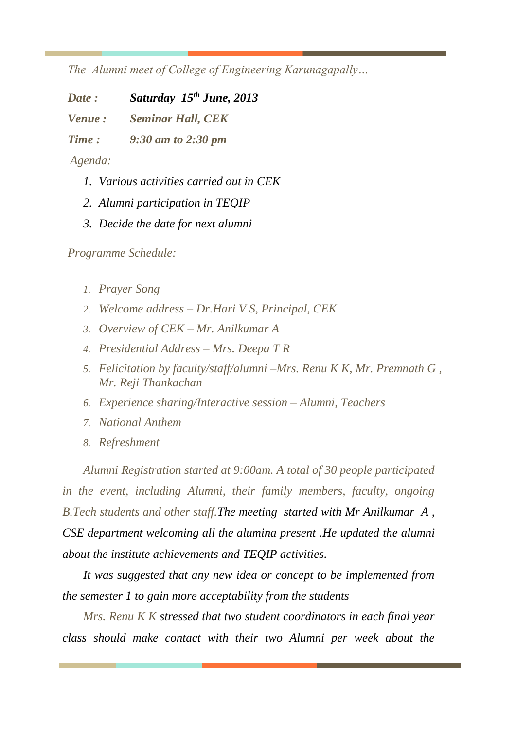*The Alumni meet of College of Engineering Karunagapally…* 

*Date : Saturday 15th June, 2013*

*Venue : Seminar Hall, CEK* 

*Time : 9:30 am to 2:30 pm*

*Agenda:*

- *1. Various activities carried out in CEK*
- *2. Alumni participation in TEQIP*
- *3. Decide the date for next alumni*

*Programme Schedule:*

- *1. Prayer Song*
- *2. Welcome address – Dr.Hari V S, Principal, CEK*
- *3. Overview of CEK – Mr. Anilkumar A*
- *4. Presidential Address – Mrs. Deepa T R*
- *5. Felicitation by faculty/staff/alumni –Mrs. Renu K K, Mr. Premnath G , Mr. Reji Thankachan*
- *6. Experience sharing/Interactive session – Alumni, Teachers*
- *7. National Anthem*
- *8. Refreshment*

*Alumni Registration started at 9:00am. A total of 30 people participated in the event, including Alumni, their family members, faculty, ongoing B.Tech students and other staff.The meeting started with Mr Anilkumar A , CSE department welcoming all the alumina present .He updated the alumni about the institute achievements and TEQIP activities.*

*It was suggested that any new idea or concept to be implemented from the semester 1 to gain more acceptability from the students*

*Mrs. Renu K K stressed that two student coordinators in each final year class should make contact with their two Alumni per week about the*